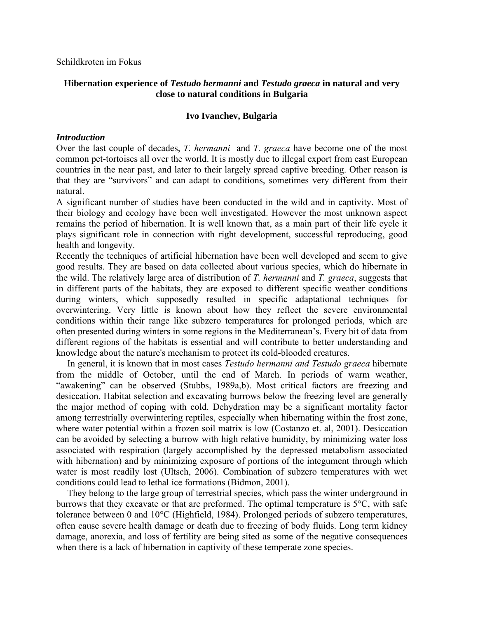Schildkroten im Fokus

# **Hibernation experience of** *Testudo hermanni* **and** *Testudo graeca* **in natural and very close to natural conditions in Bulgaria**

### **Ivo Ivanchev, Bulgaria**

### *Introduction*

Over the last couple of decades, *T. hermanni* and *Т. graeca* have become one of the most common pet-tortoises all over the world. It is mostly due to illegal export from east European countries in the near past, and later to their largely spread captive breeding. Other reason is that they are "survivors" and can adapt to conditions, sometimes very different from their natural.

A significant number of studies have been conducted in the wild and in captivity. Most of their biology and ecology have been well investigated. However the most unknown aspect remains the period of hibernation. It is well known that, as a main part of their life cycle it plays significant role in connection with right development, successful reproducing, good health and longevity.

Recently the techniques of artificial hibernation have been well developed and seem to give good results. They are based on data collected about various species, which do hibernate in the wild. The relatively large area of distribution of *T. hermanni* and *Т. graeca*, suggests that in different parts of the habitats, they are exposed to different specific weather conditions during winters, which supposedly resulted in specific adaptational techniques for overwintering. Very little is known about how they reflect the severe environmental conditions within their range like subzero temperatures for prolonged periods, which are often presented during winters in some regions in the Mediterranean's. Every bit of data from different regions of the habitats is essential and will contribute to better understanding and knowledge about the nature's mechanism to protect its cold-blooded creatures.

In general, it is known that in most cases *Testudo hermanni and Testudo graeca* hibernate from the middle of October, until the end of March. In periods of warm weather, "awakening" can be observed (Stubbs, 1989a,b). Most critical factors are freezing and desiccation. Habitat selection and excavating burrows below the freezing level are generally the major method of coping with cold. Dehydration may be a significant mortality factor among terrestrially overwintering reptiles, especially when hibernating within the frost zone, where water potential within a frozen soil matrix is low (Costanzo et. al, 2001). Desiccation can be avoided by selecting a burrow with high relative humidity, by minimizing water loss associated with respiration (largely accomplished by the depressed metabolism associated with hibernation) and by minimizing exposure of portions of the integument through which water is most readily lost (Ultsch, 2006). Combination of subzero temperatures with wet conditions could lead to lethal ice formations (Bidmon, 2001).

They belong to the large group of terrestrial species, which pass the winter underground in burrows that they excavate or that are preformed. The optimal temperature is 5°С, with safe tolerance between 0 and 10°С (Highfield, 1984). Prolonged periods of subzero temperatures, often cause severe health damage or death due to freezing of body fluids. Long term kidney damage, anorexia, and loss of fertility are being sited as some of the negative consequences when there is a lack of hibernation in captivity of these temperate zone species.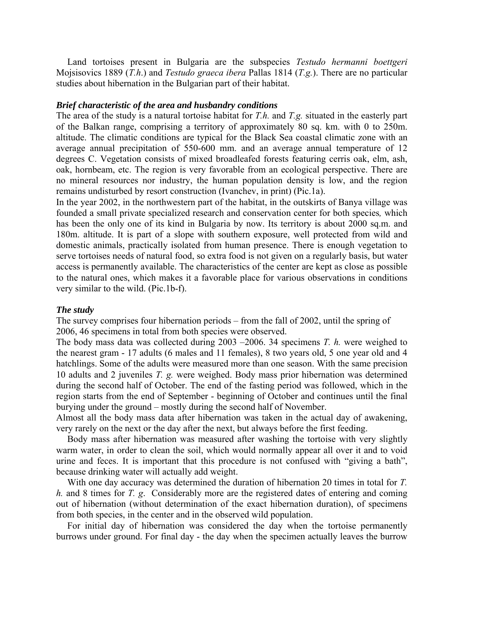Land tortoises present in Bulgaria are the subspecies *Testudo hermanni boettgeri* Mojsisovics 1889 (*T.h*.) and *Testudo graeca ibera* Pallas 1814 (*T.g.*). There are no particular studies about hibernation in the Bulgarian part of their habitat.

#### *Brief characteristic of the area and husbandry conditions*

The area of the study is a natural tortoise habitat for *T.h.* and *T.g.* situated in the easterly part of the Balkan range, comprising a territory of approximately 80 sq. km. with 0 to 250m. altitude. The climatic conditions are typical for the Black Sea coastal climatic zone with an average annual precipitation of 550-600 mm. and an average annual temperature of 12 degrees C. Vegetation consists of mixed broadleafed forests featuring cerris oak, elm, ash, oak, hornbeam, etc. The region is very favorable from an ecological perspective. There are no mineral resources nor industry, the human population density is low, and the region remains undisturbed by resort construction (Ivanchev, in print) (Pic.1a).

In the year 2002, in the northwestern part of the habitat, in the outskirts of Banya village was founded a small private specialized research and conservation center for both species*,* which has been the only one of its kind in Bulgaria by now. Its territory is about 2000 sq.m. and 180m. altitude. It is part of a slope with southern exposure, well protected from wild and domestic animals, practically isolated from human presence. There is enough vegetation to serve tortoises needs of natural food, so extra food is not given on a regularly basis, but water access is permanently available. The characteristics of the center are kept as close as possible to the natural ones, which makes it a favorable place for various observations in conditions very similar to the wild. (Pic.1b-f).

#### *The study*

The survey comprises four hibernation periods – from the fall of 2002, until the spring of 2006, 46 specimens in total from both species were observed.

The body mass data was collected during 2003 –2006. 34 specimens *T. h.* were weighed to the nearest gram - 17 adults (6 males and 11 females), 8 two years old, 5 one year old and 4 hatchlings. Some of the adults were measured more than one season. With the same precision 10 adults and 2 juveniles *T. g.* were weighed. Body mass prior hibernation was determined during the second half of October. The end of the fasting period was followed, which in the region starts from the end of September - beginning of October and continues until the final burying under the ground – mostly during the second half of November.

Almost all the body mass data after hibernation was taken in the actual day of awakening, very rarely on the next or the day after the next, but always before the first feeding.

Body mass after hibernation was measured after washing the tortoise with very slightly warm water, in order to clean the soil, which would normally appear all over it and to void urine and feces. It is important that this procedure is not confused with "giving a bath", because drinking water will actually add weight.

With one day accuracy was determined the duration of hibernation 20 times in total for *T. h.* and 8 times for *T. g*. Considerably more are the registered dates of entering and coming out of hibernation (without determination of the exact hibernation duration), of specimens from both species, in the center and in the observed wild population.

For initial day of hibernation was considered the day when the tortoise permanently burrows under ground. For final day - the day when the specimen actually leaves the burrow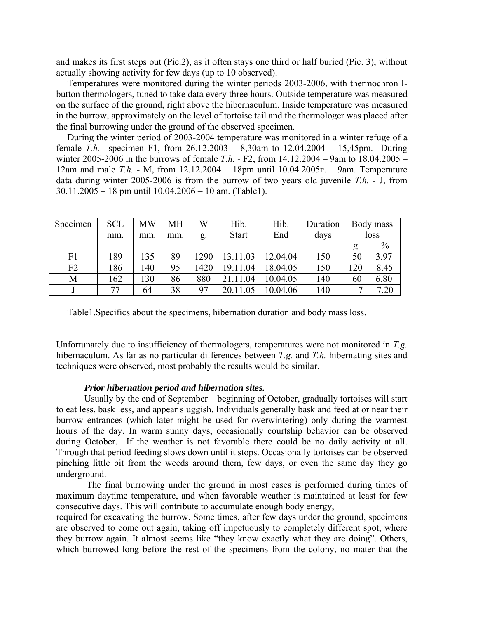and makes its first steps out (Pic.2), as it often stays one third or half buried (Pic. 3), without actually showing activity for few days (up to 10 observed).

Temperatures were monitored during the winter periods 2003-2006, with thermochron Ibutton thermologers, tuned to take data every three hours. Outside temperature was measured on the surface of the ground, right above the hibernaculum. Inside temperature was measured in the burrow, approximately on the level of tortoise tail and the thermologer was placed after the final burrowing under the ground of the observed specimen.

During the winter period of 2003-2004 temperature was monitored in a winter refuge of a female *T.h.–* specimen F1, from 26.12.2003 – 8,30am to 12.04.2004 – 15,45pm. During winter 2005-2006 in the burrows of female *T.h. -* F2, from 14.12.2004 – 9am to 18.04.2005 – 12am and male *T.h. -* M, from 12.12.2004 – 18pm until 10.04.2005г. – 9am. Temperature data during winter 2005-2006 is from the burrow of two years old juvenile *T.h. -* J, from 30.11.2005 – 18 pm until 10.04.2006 – 10 am. (Table1).

| Specimen | <b>SCL</b> | MW  | MН  | W    | Hib.         | Hib.     | Duration |      | Body mass |  |
|----------|------------|-----|-----|------|--------------|----------|----------|------|-----------|--|
|          | mm.        | mm. | mm. | g.   | <b>Start</b> | End      | days     | loss |           |  |
|          |            |     |     |      |              |          |          |      | $\%$      |  |
| F1       | 189        | 135 | 89  | 290  | 13.11.03     | 12.04.04 | 150      | 50   | 3.97      |  |
| F2       | 186        | 140 | 95  | 1420 | 19.11.04     | 18.04.05 | 150      | 120  | 8.45      |  |
| М        | 162        | 130 | 86  | 880  | .11.04       | 10.04.05 | 140      | 60   | 6.80      |  |
|          | 77         | 64  | 38  | 97   | 20.11.05     | 10.04.06 | 140      |      | 7.20      |  |

Table1.Specifics about the specimens, hibernation duration and body mass loss.

Unfortunately due to insufficiency of thermologers, temperatures were not monitored in *T.g.* hibernaculum. As far as no particular differences between *T.g.* and *T.h.* hibernating sites and techniques were observed, most probably the results would be similar.

#### *Prior hibernation period and hibernation sites.*

Usually by the end of September – beginning of October, gradually tortoises will start to eat less, bask less, and appear sluggish. Individuals generally bask and feed at or near their burrow entrances (which later might be used for overwintering) only during the warmest hours of the day. In warm sunny days, occasionally courtship behavior can be observed during October. If the weather is not favorable there could be no daily activity at all. Through that period feeding slows down until it stops. Occasionally tortoises can be observed pinching little bit from the weeds around them, few days, or even the same day they go underground.

 The final burrowing under the ground in most cases is performed during times of maximum daytime temperature, and when favorable weather is maintained at least for few consecutive days. This will contribute to accumulate enough body energy,

required for excavating the burrow. Some times, after few days under the ground, specimens are observed to come out again, taking off impetuously to completely different spot, where they burrow again. It almost seems like "they know exactly what they are doing". Others, which burrowed long before the rest of the specimens from the colony, no mater that the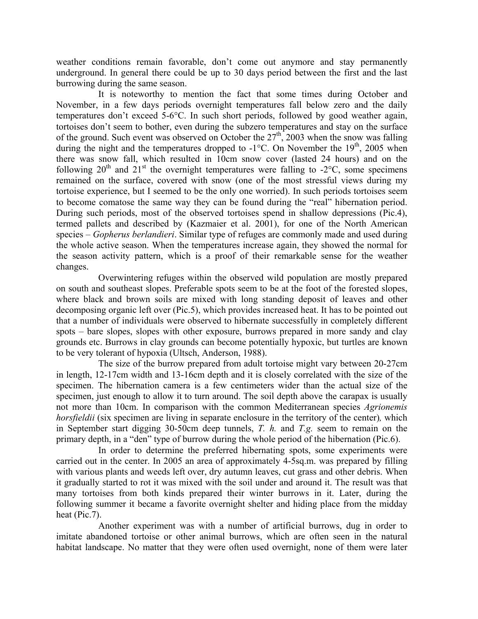weather conditions remain favorable, don't come out anymore and stay permanently underground. In general there could be up to 30 days period between the first and the last burrowing during the same season.

It is noteworthy to mention the fact that some times during October and November, in a few days periods overnight temperatures fall below zero and the daily temperatures don't exceed 5-6°С. In such short periods, followed by good weather again, tortoises don't seem to bother, even during the subzero temperatures and stay on the surface of the ground. Such event was observed on October the  $27<sup>th</sup>$ , 2003 when the snow was falling during the night and the temperatures dropped to  $-1^{\circ}$ C. On November the 19<sup>th</sup>, 2005 when there was snow fall, which resulted in 10cm snow cover (lasted 24 hours) and on the following  $20^{th}$  and  $21^{st}$  the overnight temperatures were falling to -2°C, some specimens remained on the surface, covered with snow (one of the most stressful views during my tortoise experience, but I seemed to be the only one worried). In such periods tortoises seem to become comatose the same way they can be found during the "real" hibernation period. During such periods, most of the observed tortoises spend in shallow depressions (Pic.4), termed pallets and described by (Kazmaier et al. 2001), for one of the North American species – *Gopherus berlandieri*. Similar type of refuges are commonly made and used during the whole active season. When the temperatures increase again, they showed the normal for the season activity pattern, which is a proof of their remarkable sense for the weather changes.

Overwintering refuges within the observed wild population are mostly prepared on south and southeast slopes. Preferable spots seem to be at the foot of the forested slopes, where black and brown soils are mixed with long standing deposit of leaves and other decomposing organic left over (Pic.5), which provides increased heat. It has to be pointed out that a number of individuals were observed to hibernate successfully in completely different spots – bare slopes, slopes with other exposure, burrows prepared in more sandy and clay grounds etc. Burrows in clay grounds can become potentially hypoxic, but turtles are known to be very tolerant of hypoxia (Ultsch, Anderson, 1988).

The size of the burrow prepared from adult tortoise might vary between 20-27cm in length, 12-17cm width and 13-16cm depth and it is closely correlated with the size of the specimen. The hibernation camera is a few centimeters wider than the actual size of the specimen, just enough to allow it to turn around. The soil depth above the carapax is usually not more than 10cm. In comparison with the common Mediterranean species *Agrionemis horsfieldii* (six specimen are living in separate enclosure in the territory of the center), which in September start digging 30-50cm deep tunnels, *T. h.* and *T.g.* seem to remain on the primary depth, in a "den" type of burrow during the whole period of the hibernation (Pic.6).

In order to determine the preferred hibernating spots, some experiments were carried out in the center. In 2005 an area of approximately 4-5sq.m. was prepared by filling with various plants and weeds left over, dry autumn leaves, cut grass and other debris. When it gradually started to rot it was mixed with the soil under and around it. The result was that many tortoises from both kinds prepared their winter burrows in it. Later, during the following summer it became a favorite overnight shelter and hiding place from the midday heat (Pic.7).

Another experiment was with a number of artificial burrows, dug in order to imitate abandoned tortoise or other animal burrows, which are often seen in the natural habitat landscape. No matter that they were often used overnight, none of them were later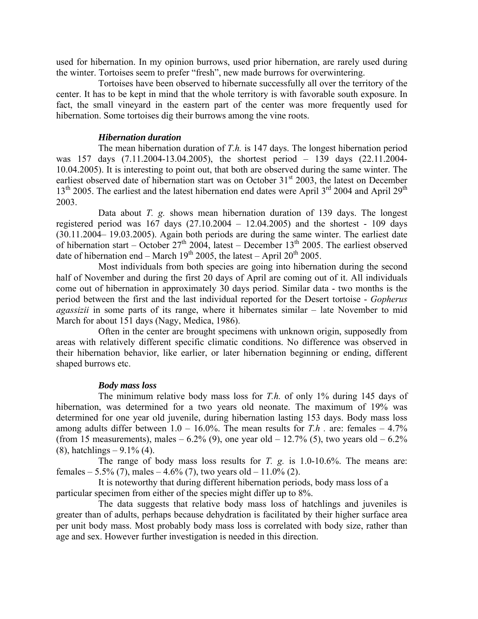used for hibernation. In my opinion burrows, used prior hibernation, are rarely used during the winter. Tortoises seem to prefer "fresh", new made burrows for overwintering.

Tortoises have been observed to hibernate successfully all over the territory of the center. It has to be kept in mind that the whole territory is with favorable south exposure. In fact, the small vineyard in the eastern part of the center was more frequently used for hibernation. Some tortoises dig their burrows among the vine roots.

### *Hibernation duration*

The mean hibernation duration of *T.h.* is 147 days. The longest hibernation period was 157 days (7.11.2004-13.04.2005), the shortest period – 139 days (22.11.2004- 10.04.2005). It is interesting to point out, that both are observed during the same winter. The earliest observed date of hibernation start was on October  $31<sup>st</sup>$  2003, the latest on December  $13<sup>th</sup>$  2005. The earliest and the latest hibernation end dates were April  $3<sup>rd</sup>$  2004 and April 29<sup>th</sup> 2003.

Data about *T. g.* shows mean hibernation duration of 139 days. The longest registered period was  $167$  days  $(27.10.2004 - 12.04.2005)$  and the shortest - 109 days (30.11.2004– 19.03.2005). Again both periods are during the same winter. The earliest date of hibernation start – October  $27<sup>th</sup>$  2004, latest – December 13<sup>th</sup> 2005. The earliest observed date of hibernation end – March  $19^{th}$  2005, the latest – April 20<sup>th</sup> 2005.

Most individuals from both species are going into hibernation during the second half of November and during the first 20 days of April are coming out of it. All individuals come out of hibernation in approximately 30 days period. Similar data - two months is the period between the first and the last individual reported for the Desert tortoise - *Gopherus agassizii* in some parts of its range, where it hibernates similar – late November to mid March for about 151 days (Nagy, Medica, 1986).

Often in the center are brought specimens with unknown origin, supposedly from areas with relatively different specific climatic conditions. No difference was observed in their hibernation behavior, like earlier, or later hibernation beginning or ending, different shaped burrows etc.

### *Body mass loss*

The minimum relative body mass loss for *T.h.* of only 1% during 145 days of hibernation, was determined for a two years old neonate. The maximum of 19% was determined for one year old juvenile, during hibernation lasting 153 days. Body mass loss among adults differ between  $1.0 - 16.0\%$ . The mean results for *T.h* . are: females  $-4.7\%$ (from 15 measurements), males  $-6.2\%$  (9), one year old  $-12.7\%$  (5), two years old  $-6.2\%$  $(8)$ , hatchlings – 9.1%  $(4)$ .

The range of body mass loss results for *T. g.* is 1.0-10.6%. The means are: females – 5.5% (7), males – 4.6% (7), two years old – 11.0% (2).

It is noteworthy that during different hibernation periods, body mass loss of a particular specimen from either of the species might differ up to 8%.

The data suggests that relative body mass loss of hatchlings and juveniles is greater than of adults, perhaps because dehydration is facilitated by their higher surface area per unit body mass. Most probably body mass loss is correlated with body size, rather than age and sex. However further investigation is needed in this direction.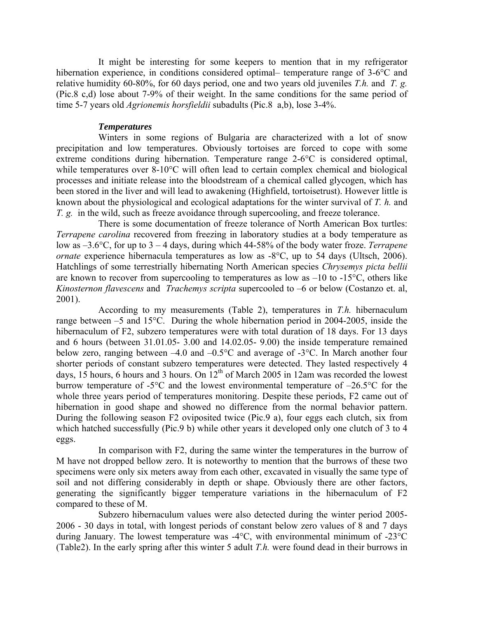It might be interesting for some keepers to mention that in my refrigerator hibernation experience, in conditions considered optimal– temperature range of 3-6°C and relative humidity 60-80%, for 60 days period, one and two years old juveniles *T.h.* and *T. g.*  (Pic.8 c,d) lose about 7-9% of their weight. In the same conditions for the same period of time 5-7 years old *Agrionemis horsfieldii* subadults (Pic.8 a,b), lose 3-4%.

### *Temperatures*

Winters in some regions of Bulgaria are characterized with a lot of snow precipitation and low temperatures. Obviously tortoises are forced to cope with some extreme conditions during hibernation. Temperature range 2-6°С is considered optimal, while temperatures over 8-10<sup>o</sup>C will often lead to certain complex chemical and biological processes and initiate release into the bloodstream of a chemical called glycogen, which has been stored in the liver and will lead to awakening (Highfield, tortoisetrust). However little is known about the physiological and ecological adaptations for the winter survival of *T. h.* and *T. g.* in the wild, such as freeze avoidance through supercooling, and freeze tolerance.

There is some documentation of freeze tolerance of North American Box turtles: *Terrapene carolina* recovered from freezing in laboratory studies at a body temperature as low as –3.6°С, for up to 3 – 4 days, during which 44-58% of the body water froze. *Terrapene ornate* experience hibernacula temperatures as low as -8°C, up to 54 days (Ultsch, 2006). Hatchlings of some terrestrially hibernating North American species *Chrysemys picta bellii* are known to recover from supercooling to temperatures as low as  $-10$  to  $-15^{\circ}$ C, others like *Kinosternon flavescens* and *Trachemys scripta* supercooled to –6 or below (Costanzo et. al, 2001).

According to my measurements (Table 2), temperatures in *T.h.* hibernaculum range between –5 and 15°С. During the whole hibernation period in 2004-2005, inside the hibernaculum of F2, subzero temperatures were with total duration of 18 days. For 13 days and 6 hours (between 31.01.05- 3.00 and 14.02.05- 9.00) the inside temperature remained below zero, ranging between –4.0 and –0.5°С and average of -3°С. In March another four shorter periods of constant subzero temperatures were detected. They lasted respectively 4 days, 15 hours, 6 hours and 3 hours. On  $12<sup>th</sup>$  of March 2005 in 12am was recorded the lowest burrow temperature of -5°С and the lowest environmental temperature of –26.5°С for the whole three years period of temperatures monitoring. Despite these periods, F2 came out of hibernation in good shape and showed no difference from the normal behavior pattern. During the following season F2 oviposited twice (Pic.9 a), four eggs each clutch, six from which hatched successfully (Pic.9 b) while other years it developed only one clutch of 3 to 4 eggs.

In comparison with F2, during the same winter the temperatures in the burrow of M have not dropped bellow zero. It is noteworthy to mention that the burrows of these two specimens were only six meters away from each other, excavated in visually the same type of soil and not differing considerably in depth or shape. Obviously there are other factors, generating the significantly bigger temperature variations in the hibernaculum of F2 compared to these of M.

Subzero hibernaculum values were also detected during the winter period 2005- 2006 - 30 days in total, with longest periods of constant below zero values of 8 and 7 days during January. The lowest temperature was -4°С, with environmental minimum of -23°С (Table2). In the early spring after this winter 5 adult *T.h.* were found dead in their burrows in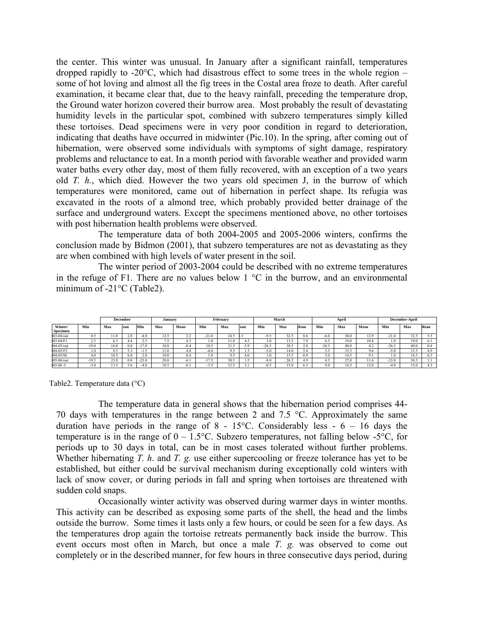the center. This winter was unusual. In January after a significant rainfall, temperatures dropped rapidly to -20 $^{\circ}$ C, which had disastrous effect to some trees in the whole region – some of hot loving and almost all the fig trees in the Costal area froze to death. After careful examination, it became clear that, due to the heavy rainfall, preceding the temperature drop, the Ground water horizon covered their burrow area. Most probably the result of devastating humidity levels in the particular spot, combined with subzero temperatures simply killed these tortoises. Dead specimens were in very poor condition in regard to deterioration, indicating that deaths have occurred in midwinter (Pic.10). In the spring, after coming out of hibernation, were observed some individuals with symptoms of sight damage, respiratory problems and reluctance to eat. In a month period with favorable weather and provided warm water baths every other day, most of them fully recovered, with an exception of a two years old *T. h.*, which died. However the two years old specimen J, in the burrow of which temperatures were monitored, came out of hibernation in perfect shape. Its refugia was excavated in the roots of a almond tree, which probably provided better drainage of the surface and underground waters. Except the specimens mentioned above, no other tortoises with post hibernation health problems were observed.

The temperature data of both 2004-2005 and 2005-2006 winters, confirms the conclusion made by Bidmon (2001), that subzero temperatures are not as devastating as they are when combined with high levels of water present in the soil.

 The winter period of 2003-2004 could be described with no extreme temperatures in the refuge of F1. There are no values below  $1 \degree C$  in the burrow, and an environmental minimum of -21°С (Table2).

|              |         |          | December |         | January |        | February<br>March |           |        | April   |      |             | December-April |       |      |         |      |          |
|--------------|---------|----------|----------|---------|---------|--------|-------------------|-----------|--------|---------|------|-------------|----------------|-------|------|---------|------|----------|
|              |         |          |          |         |         |        |                   |           |        |         |      |             |                |       |      |         |      |          |
| Winter/      | Min     | Max      | lean     | Min     | Max     | Mean   | Min               | Max       | lean   | Min     | Max  | <b>Mean</b> | Min            | Max   | Mean | Min     | Max  | Mean     |
| Specimen     |         |          |          |         |         |        |                   |           |        |         |      |             |                |       |      |         |      |          |
| $03-04$ /out | 0.5     | 1.0      | 2.8      | $-4.0$  | 12.5    | 4.4    | $-21.0$           | -24.3     |        | $-9.5$  | 32.5 | 8.6         | $-6.0$         | 30.0  | 12.9 | $-21.0$ | 32.5 | 5.5      |
| 03-04/F1     | 2.5     | 6.5      | 4.4      | 2.5     | , , ,   | 4.5    |                   | . I .U    | 4.5    | 3.0     | 13.5 | 7.9         | 6.5            | 19.0  | 10.8 | 1.0     | 19.0 | 6.1      |
| $04-05$ /out | $-19.0$ | 16.0     | 0.0      |         | 18.0    | $-0.4$ | 18.               |           | $-3.9$ | $-26.5$ | 38.5 | 2.e         | $-10.5$        | 40.0  | 8.2  | $-26.5$ | 40.0 | $_{0.4}$ |
| $04-05/F2$   | 1.0     | $\Omega$ | --       | -1.2    | 11.0    |        | $-4.0$            | ດເ<br>7.J | .      | $-5.0$  | 14.0 |             | ---            | 15.5  | 9.6  | $-5.0$  | 15.5 | 4.9      |
| $04 - 05/M$  | 4.0     | 10.5     | 6.8      | 2.U     | 10.0    | 6.4    | $\Omega$          | ດເ        | 4.0    | 1.0     | 13.5 | 6.9         | 5.0            | 14.   | 9.1  | - 0     | l4.: | 6.3      |
| $05-06$ /out | $-19.5$ | 23.0     | 0.8      | $-23.0$ | 20.0    | $-6.1$ | 17<br>$-11.5$     | 30.5      | LD.    | $-8.0$  | 26.5 | 4.9         |                | 27.0  | 11.6 | $-23.0$ | 30.5 |          |
| $05-06/$     | $-3.0$  | 3.5      | $0.6 -$  | $-4.0$  | 10.5    | $-0.1$ | - 1               | 12.5      |        | $-0.5$  | 15.0 |             | 9.0            | l 4.5 | 12.0 | $-4.0$  | 15.0 | 4.3      |

Table2. Temperature data (°С)

The temperature data in general shows that the hibernation period comprises 44- 70 days with temperatures in the range between 2 and 7.5 °С. Approximately the same duration have periods in the range of  $8 - 15^{\circ}$ C. Considerably less - 6 – 16 days the temperature is in the range of  $0 - 1.5$ °C. Subzero temperatures, not falling below -5°C, for periods up to 30 days in total, can be in most cases tolerated without further problems. Whether hibernating *T. h*. and *T. g.* use either supercooling or freeze tolerance has yet to be established, but either could be survival mechanism during exceptionally cold winters with lack of snow cover, or during periods in fall and spring when tortoises are threatened with sudden cold snaps.

Occasionally winter activity was observed during warmer days in winter months. This activity can be described as exposing some parts of the shell, the head and the limbs outside the burrow. Some times it lasts only a few hours, or could be seen for a few days. As the temperatures drop again the tortoise retreats permanently back inside the burrow. This event occurs most often in March, but once a male *T. g.* was observed to come out completely or in the described manner, for few hours in three consecutive days period, during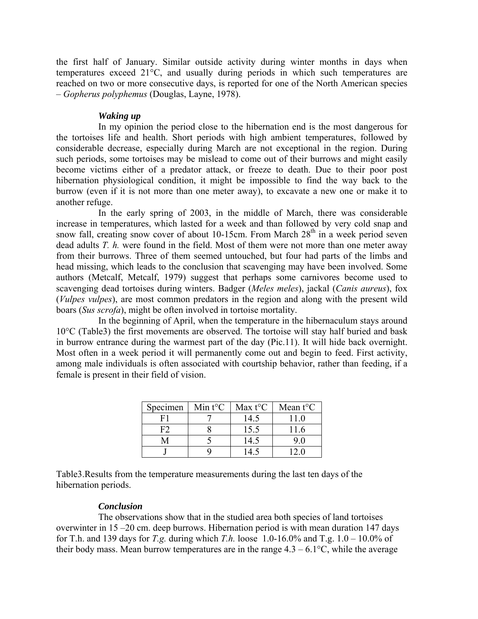the first half of January. Similar outside activity during winter months in days when temperatures exceed 21°С, and usually during periods in which such temperatures are reached on two or more consecutive days, is reported for one of the North American species – *Gopherus polyphemus* (Douglas, Layne, 1978).

# *Waking up*

In my opinion the period close to the hibernation end is the most dangerous for the tortoises life and health. Short periods with high ambient temperatures, followed by considerable decrease, especially during March are not exceptional in the region. During such periods, some tortoises may be mislead to come out of their burrows and might easily become victims either of a predator attack, or freeze to death. Due to their poor post hibernation physiological condition, it might be impossible to find the way back to the burrow (even if it is not more than one meter away), to excavate a new one or make it to another refuge.

In the early spring of 2003, in the middle of March, there was considerable increase in temperatures, which lasted for a week and than followed by very cold snap and snow fall, creating snow cover of about 10-15cm. From March  $28<sup>th</sup>$  in a week period seven dead adults *T. h.* were found in the field. Most of them were not more than one meter away from their burrows. Three of them seemed untouched, but four had parts of the limbs and head missing, which leads to the conclusion that scavenging may have been involved. Some authors (Metcalf, Metcalf, 1979) suggest that perhaps some carnivores become used to scavenging dead tortoises during winters. Badger (*Meles meles*), jackal (*Canis aureus*), fox (*Vulpes vulpes*), are most common predators in the region and along with the present wild boars (*Sus scrofa*), might be often involved in tortoise mortality.

In the beginning of April, when the temperature in the hibernaculum stays around 10°С (Table3) the first movements are observed. The tortoise will stay half buried and bask in burrow entrance during the warmest part of the day (Pic.11). It will hide back overnight. Most often in a week period it will permanently come out and begin to feed. First activity, among male individuals is often associated with courtship behavior, rather than feeding, if a female is present in their field of vision.

| Specimen | Min $t$ <sup>o</sup> C | Max $t$ <sup>o</sup> C | Mean $t$ <sup>o</sup> C |
|----------|------------------------|------------------------|-------------------------|
|          |                        | 14.5                   | 11.0                    |
| FЭ       |                        | 15.5                   | 11.6                    |
|          |                        | 14.5                   |                         |
|          |                        |                        |                         |

Table3.Results from the temperature measurements during the last ten days of the hibernation periods.

### *Conclusion*

The observations show that in the studied area both species of land tortoises overwinter in 15 –20 cm. deep burrows. Hibernation period is with mean duration 147 days for T.h. and 139 days for *T.g.* during which *T.h.* loose 1.0-16.0% and T.g.  $1.0 - 10.0\%$  of their body mass. Mean burrow temperatures are in the range  $4.3 - 6.1^{\circ}$ C, while the average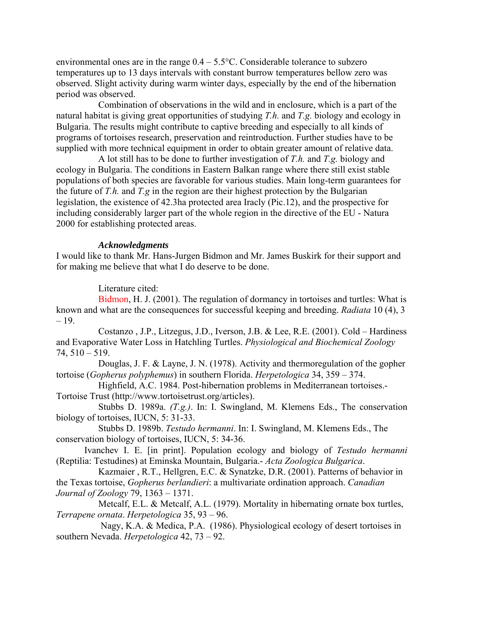environmental ones are in the range  $0.4 - 5.5$ °C. Considerable tolerance to subzero temperatures up to 13 days intervals with constant burrow temperatures bellow zero was observed. Slight activity during warm winter days, especially by the end of the hibernation period was observed.

Combination of observations in the wild and in enclosure, which is a part of the natural habitat is giving great opportunities of studying *T.h.* and *T.g.* biology and ecology in Bulgaria. The results might contribute to captive breeding and especially to all kinds of programs of tortoises research, preservation and reintroduction. Further studies have to be supplied with more technical equipment in order to obtain greater amount of relative data.

A lot still has to be done to further investigation of *T.h.* and *T.g.* biology and ecology in Bulgaria. The conditions in Eastern Balkan range where there still exist stable populations of both species are favorable for various studies. Main long-term guarantees for the future of *T.h.* and *T.g* in the region are their highest protection by the Bulgarian legislation, the existence of 42.3ha protected area Iracly (Pic.12), and the prospective for including considerably larger part of the whole region in the directive of the EU - Natura 2000 for establishing protected areas.

### *Acknowledgments*

I would like to thank Mr. Hans-Jurgen Bidmon and Mr. James Buskirk for their support and for making me believe that what I do deserve to be done.

Literature cited:

Bidmon, H. J. (2001). The regulation of dormancy in tortoises and turtles: What is known and what are the consequences for successful keeping and breeding. *Radiata* 10 (4), 3 – 19.

Costanzo , J.P., Litzegus, J.D., Iverson, J.B. & Lee, R.E. (2001). Cold – Hardiness and Evaporative Water Loss in Hatchling Turtles. *Physiological and Biochemical Zoology*  74, 510 – 519.

Douglas, J. F. & Layne, J. N. (1978). Activity and thermoregulation of the gopher tortoise (*Gopherus polyphemus*) in southern Florida. *Herpetologica* 34, 359 – 374.

Highfield, A.C. 1984. Post-hibernation problems in Mediterranean tortoises.- Tortoise Trust (http://www.tortoisetrust.org/articles).

Stubbs D. 1989a. *(T.g.)*. In: I. Swingland, M. Klemens Eds., The conservation biology of tortoises, IUCN, 5: 31-33.

Stubbs D. 1989b. *Testudo hermanni*. In: I. Swingland, M. Klemens Eds., The conservation biology of tortoises, IUCN, 5: 34-36.

Ivanchev I. E. [in print]. Population ecology and biology of *Testudo hermanni* (Reptilia: Testudines) at Eminska Mountain, Bulgaria.- *Acta Zoologica Bulgarica*.

Kazmaier , R.T., Hellgren, E.C. & Synatzke, D.R. (2001). Patterns of behavior in the Texas tortoise, *Gopherus berlandieri*: a multivariate ordination approach. *Canadian Journal of Zoology* 79, 1363 – 1371.

Metcalf, E.L. & Metcalf, A.L. (1979). Mortality in hibernating ornate box turtles, *Terrapene ornata*. *Herpetologica* 35, 93 – 96.

 Nagy, K.A. & Medica, P.A. (1986). Physiological ecology of desert tortoises in southern Nevada. *Herpetologica* 42, 73 – 92.